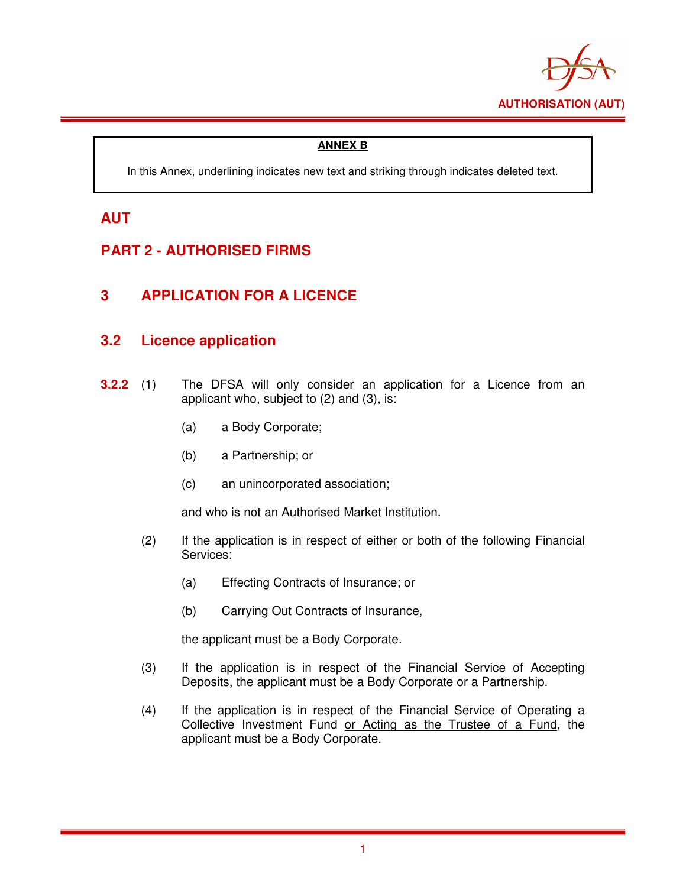

### **ANNEX B**

In this Annex, underlining indicates new text and striking through indicates deleted text.

## **AUT**

# **PART 2 - AUTHORISED FIRMS**

## **3 APPLICATION FOR A LICENCE**

### **3.2 Licence application**

- **3.2.2** (1) The DFSA will only consider an application for a Licence from an applicant who, subject to (2) and (3), is:
	- (a) a Body Corporate;
	- (b) a Partnership; or
	- (c) an unincorporated association;

and who is not an Authorised Market Institution.

- (2) If the application is in respect of either or both of the following Financial Services:
	- (a) Effecting Contracts of Insurance; or
	- (b) Carrying Out Contracts of Insurance,

the applicant must be a Body Corporate.

- (3) If the application is in respect of the Financial Service of Accepting Deposits, the applicant must be a Body Corporate or a Partnership.
- (4) If the application is in respect of the Financial Service of Operating a Collective Investment Fund or Acting as the Trustee of a Fund, the applicant must be a Body Corporate.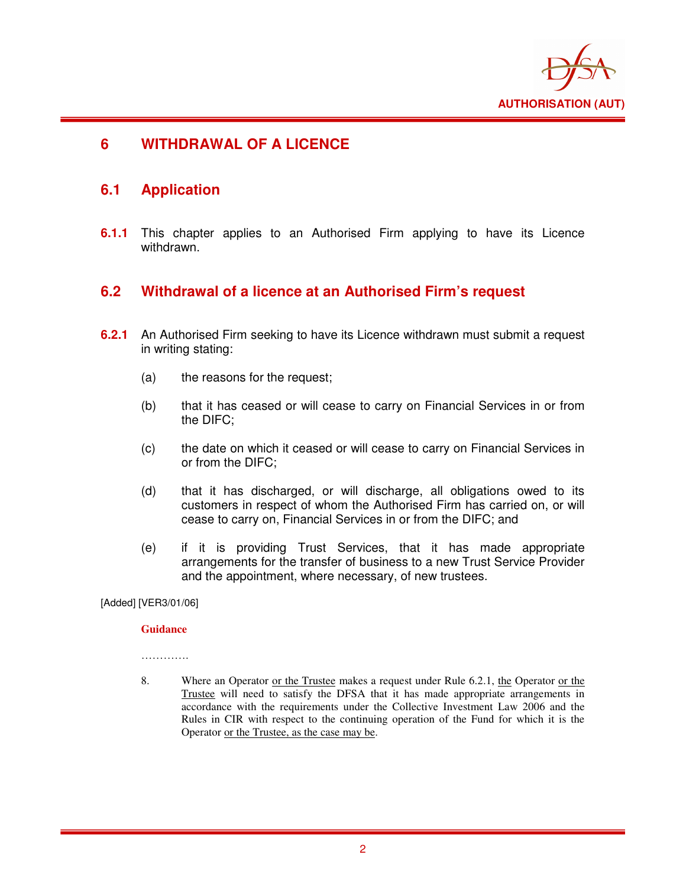

## **6 WITHDRAWAL OF A LICENCE**

### **6.1 Application**

**6.1.1** This chapter applies to an Authorised Firm applying to have its Licence withdrawn.

### **6.2 Withdrawal of a licence at an Authorised Firm's request**

- **6.2.1** An Authorised Firm seeking to have its Licence withdrawn must submit a request in writing stating:
	- (a) the reasons for the request;
	- (b) that it has ceased or will cease to carry on Financial Services in or from the DIFC;
	- (c) the date on which it ceased or will cease to carry on Financial Services in or from the DIFC;
	- (d) that it has discharged, or will discharge, all obligations owed to its customers in respect of whom the Authorised Firm has carried on, or will cease to carry on, Financial Services in or from the DIFC; and
	- (e) if it is providing Trust Services, that it has made appropriate arrangements for the transfer of business to a new Trust Service Provider and the appointment, where necessary, of new trustees.

[Added] [VER3/01/06]

#### **Guidance**

…………

8. Where an Operator <u>or the Trustee</u> makes a request under Rule 6.2.1, the Operator <u>or the</u> Trustee will need to satisfy the DFSA that it has made appropriate arrangements in accordance with the requirements under the Collective Investment Law 2006 and the Rules in CIR with respect to the continuing operation of the Fund for which it is the Operator or the Trustee, as the case may be.